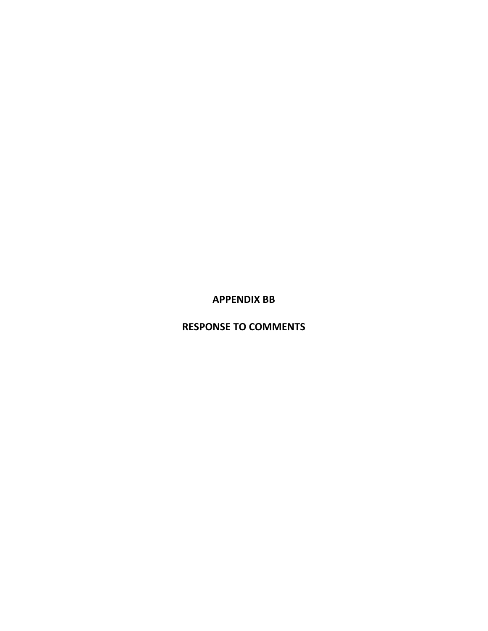**APPENDIX BB**

**RESPONSE TO COMMENTS**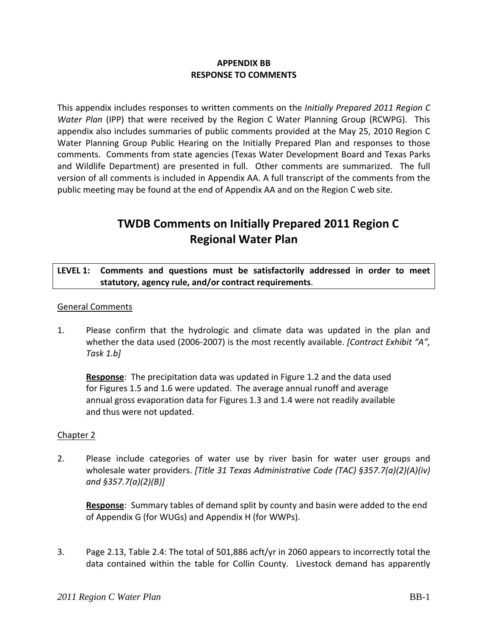## **APPENDIX BB RESPONSE TO COMMENTS**

This appendix includes responses to written comments on the *Initially Prepared 2011 Region C Water Plan* (IPP) that were received by the Region C Water Planning Group (RCWPG). This appendix also includes summaries of public comments provided at the May 25, 2010 Region C Water Planning Group Public Hearing on the Initially Prepared Plan and responses to those comments. Comments from state agencies (Texas Water Development Board and Texas Parks and Wildlife Department) are presented in full. Other comments are summarized. The full version of all comments is included in Appendix AA. A full transcript of the comments from the public meeting may be found at the end of Appendix AA and on the Region C web site.

# **TWDB Comments on Initially Prepared 2011 Region C Regional Water Plan**

## **LEVEL 1: Comments and questions must be satisfactorily addressed in order to meet statutory, agency rule, and/or contract requirements**.

## General Comments

1. Please confirm that the hydrologic and climate data was updated in the plan and whether the data used (2006‐2007) is the most recently available. *[Contract Exhibit "A", Task 1.b]*

**Response**: The precipitation data was updated in Figure 1.2 and the data used for Figures 1.5 and 1.6 were updated. The average annual runoff and average annual gross evaporation data for Figures 1.3 and 1.4 were not readily available and thus were not updated.

#### Chapter 2

2. Please include categories of water use by river basin for water user groups and wholesale water providers. *[Title 31 Texas Administrative Code (TAC) §357.7(a)(2)(A)(iv) and §357.7(a)(2)(B)]*

**Response**: Summary tables of demand split by county and basin were added to the end of Appendix G (for WUGs) and Appendix H (for WWPs).

3. Page 2.13, Table 2.4: The total of 501,886 acft/yr in 2060 appears to incorrectly total the data contained within the table for Collin County. Livestock demand has apparently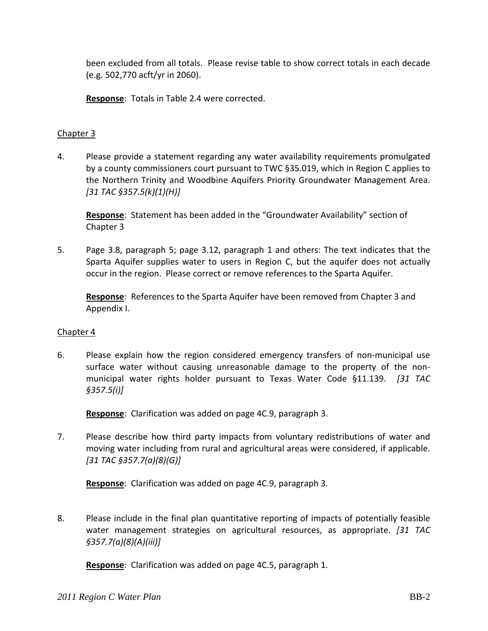been excluded from all totals. Please revise table to show correct totals in each decade (e.g. 502,770 acft/yr in 2060).

**Response**: Totals in Table 2.4 were corrected.

## Chapter 3

4. Please provide a statement regarding any water availability requirements promulgated by a county commissioners court pursuant to TWC §35.019, which in Region C applies to the Northern Trinity and Woodbine Aquifers Priority Groundwater Management Area. *[31 TAC §357.5(k)(1)(H)]*

**Response**: Statement has been added in the "Groundwater Availability" section of Chapter 3

5. Page 3.8, paragraph 5; page 3.12, paragraph 1 and others: The text indicates that the Sparta Aquifer supplies water to users in Region C, but the aquifer does not actually occur in the region. Please correct or remove references to the Sparta Aquifer.

**Response**: References to the Sparta Aquifer have been removed from Chapter 3 and Appendix I.

## Chapter 4

6. Please explain how the region considered emergency transfers of non‐municipal use surface water without causing unreasonable damage to the property of the non‐ municipal water rights holder pursuant to Texas Water Code §11.139. *[31 TAC §357.5(i)]*

**Response**: Clarification was added on page 4C.9, paragraph 3.

7. Please describe how third party impacts from voluntary redistributions of water and moving water including from rural and agricultural areas were considered, if applicable. *[31 TAC §357.7(a)(8)(G)]*

**Response**: Clarification was added on page 4C.9, paragraph 3.

8. Please include in the final plan quantitative reporting of impacts of potentially feasible water management strategies on agricultural resources, as appropriate. *[31 TAC §357.7(a)(8)(A)(iii)]*

**Response**: Clarification was added on page 4C.5, paragraph 1.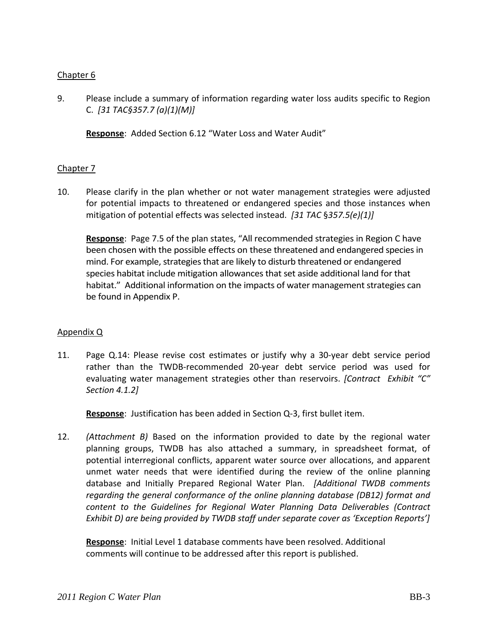## Chapter 6

9. Please include a summary of information regarding water loss audits specific to Region C. *[31 TAC§357.7 (a)(1)(M)]*

**Response**: Added Section 6.12 "Water Loss and Water Audit"

## Chapter 7

10. Please clarify in the plan whether or not water management strategies were adjusted for potential impacts to threatened or endangered species and those instances when mitigation of potential effects was selected instead. *[31 TAC* §*357.5(e)(1)]*

**Response**: Page 7.5 of the plan states, "All recommended strategies in Region C have been chosen with the possible effects on these threatened and endangered species in mind. For example, strategies that are likely to disturb threatened or endangered species habitat include mitigation allowancesthat set aside additional land for that habitat." Additional information on the impacts of water management strategies can be found in Appendix P.

#### Appendix Q

11. Page Q.14: Please revise cost estimates or justify why a 30‐year debt service period rather than the TWDB‐recommended 20‐year debt service period was used for evaluating water management strategies other than reservoirs. *[Contract Exhibit "C" Section 4.1.2]* 

**Response**: Justification has been added in Section Q‐3, first bullet item.

12. *(Attachment B)* Based on the information provided to date by the regional water planning groups, TWDB has also attached a summary, in spreadsheet format, of potential interregional conflicts, apparent water source over allocations, and apparent unmet water needs that were identified during the review of the online planning database and Initially Prepared Regional Water Plan. *[Additional TWDB comments regarding the general conformance of the online planning database (DB12) format and content to the Guidelines for Regional Water Planning Data Deliverables (Contract Exhibit D) are being provided by TWDB staff under separate cover as 'Exception Reports']*

**Response**: Initial Level 1 database comments have been resolved. Additional comments will continue to be addressed after this report is published.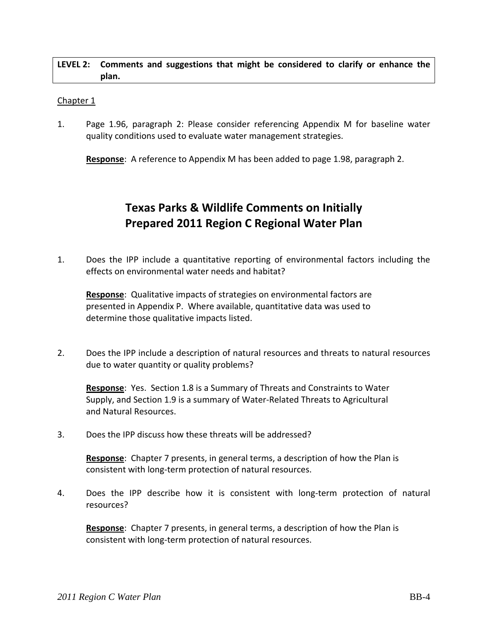#### **LEVEL 2: Comments and suggestions that might be considered to clarify or enhance the plan.**

#### Chapter 1

1. Page 1.96, paragraph 2: Please consider referencing Appendix M for baseline water quality conditions used to evaluate water management strategies.

**Response**: A reference to Appendix M has been added to page 1.98, paragraph 2.

## **Texas Parks & Wildlife Comments on Initially Prepared 2011 Region C Regional Water Plan**

1. Does the IPP include a quantitative reporting of environmental factors including the effects on environmental water needs and habitat?

**Response**: Qualitative impacts of strategies on environmental factors are presented in Appendix P. Where available, quantitative data was used to determine those qualitative impacts listed.

2. Does the IPP include a description of natural resources and threats to natural resources due to water quantity or quality problems?

**Response**: Yes. Section 1.8 is a Summary of Threats and Constraints to Water Supply, and Section 1.9 is a summary of Water‐Related Threats to Agricultural and Natural Resources.

3. Does the IPP discuss how these threats will be addressed?

**Response**: Chapter 7 presents, in general terms, a description of how the Plan is consistent with long‐term protection of natural resources.

4. Does the IPP describe how it is consistent with long-term protection of natural resources?

**Response**: Chapter 7 presents, in general terms, a description of how the Plan is consistent with long‐term protection of natural resources.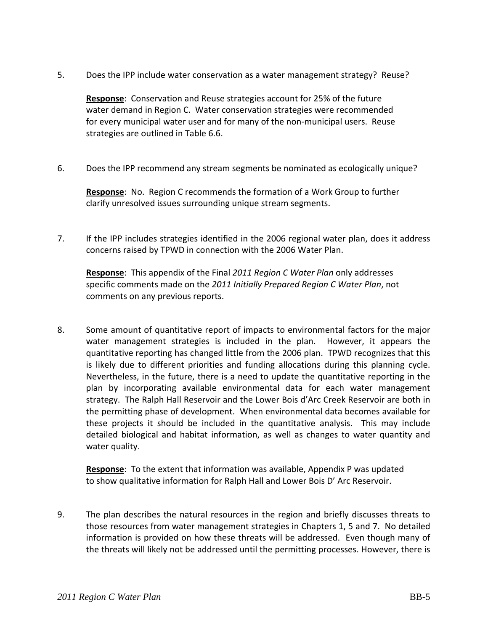5. Does the IPP include water conservation as a water management strategy? Reuse?

**Response**: Conservation and Reuse strategies account for 25% of the future water demand in Region C. Water conservation strategies were recommended for every municipal water user and for many of the non-municipal users. Reuse strategies are outlined in Table 6.6.

6. Does the IPP recommend any stream segments be nominated as ecologically unique?

**Response**: No. Region C recommends the formation of a Work Group to further clarify unresolved issues surrounding unique stream segments.

7. If the IPP includes strategies identified in the 2006 regional water plan, does it address concerns raised by TPWD in connection with the 2006 Water Plan.

**Response**: This appendix of the Final *2011 Region C Water Plan* only addresses specific comments made on the *2011 Initially Prepared Region C Water Plan*, not comments on any previous reports.

8. Some amount of quantitative report of impacts to environmental factors for the major water management strategies is included in the plan. However, it appears the quantitative reporting has changed little from the 2006 plan. TPWD recognizes that this is likely due to different priorities and funding allocations during this planning cycle. Nevertheless, in the future, there is a need to update the quantitative reporting in the plan by incorporating available environmental data for each water management strategy. The Ralph Hall Reservoir and the Lower Bois d'Arc Creek Reservoir are both in the permitting phase of development. When environmental data becomes available for these projects it should be included in the quantitative analysis. This may include detailed biological and habitat information, as well as changes to water quantity and water quality.

**Response**: To the extent that information was available, Appendix P was updated to show qualitative information for Ralph Hall and Lower Bois D' Arc Reservoir.

9. The plan describes the natural resources in the region and briefly discusses threats to those resources from water management strategies in Chapters 1, 5 and 7. No detailed information is provided on how these threats will be addressed. Even though many of the threats will likely not be addressed until the permitting processes. However, there is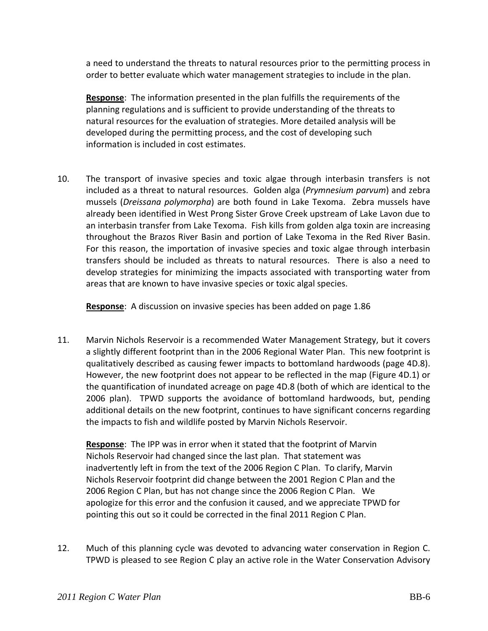a need to understand the threats to natural resources prior to the permitting process in order to better evaluate which water management strategies to include in the plan.

**Response**: The information presented in the plan fulfills the requirements of the planning regulations and is sufficient to provide understanding of the threats to natural resources for the evaluation of strategies. More detailed analysis will be developed during the permitting process, and the cost of developing such information is included in cost estimates.

10. The transport of invasive species and toxic algae through interbasin transfers is not included as a threat to natural resources. Golden alga (*Prymnesium parvum*) and zebra mussels (*Dreissana polymorpha*) are both found in Lake Texoma. Zebra mussels have already been identified in West Prong Sister Grove Creek upstream of Lake Lavon due to an interbasin transfer from Lake Texoma. Fish kills from golden alga toxin are increasing throughout the Brazos River Basin and portion of Lake Texoma in the Red River Basin. For this reason, the importation of invasive species and toxic algae through interbasin transfers should be included as threats to natural resources. There is also a need to develop strategies for minimizing the impacts associated with transporting water from areas that are known to have invasive species or toxic algal species.

**Response**: A discussion on invasive species has been added on page 1.86

11. Marvin Nichols Reservoir is a recommended Water Management Strategy, but it covers a slightly different footprint than in the 2006 Regional Water Plan. This new footprint is qualitatively described as causing fewer impacts to bottomland hardwoods (page 4D.8). However, the new footprint does not appear to be reflected in the map (Figure 4D.1) or the quantification of inundated acreage on page 4D.8 (both of which are identical to the 2006 plan). TPWD supports the avoidance of bottomland hardwoods, but, pending additional details on the new footprint, continues to have significant concerns regarding the impacts to fish and wildlife posted by Marvin Nichols Reservoir.

**Response**: The IPP was in error when it stated that the footprint of Marvin Nichols Reservoir had changed since the last plan. That statement was inadvertently left in from the text of the 2006 Region C Plan. To clarify, Marvin Nichols Reservoir footprint did change between the 2001 Region C Plan and the 2006 Region C Plan, but has not change since the 2006 Region C Plan. We apologize for this error and the confusion it caused, and we appreciate TPWD for pointing this out so it could be corrected in the final 2011 Region C Plan.

12. Much of this planning cycle was devoted to advancing water conservation in Region C. TPWD is pleased to see Region C play an active role in the Water Conservation Advisory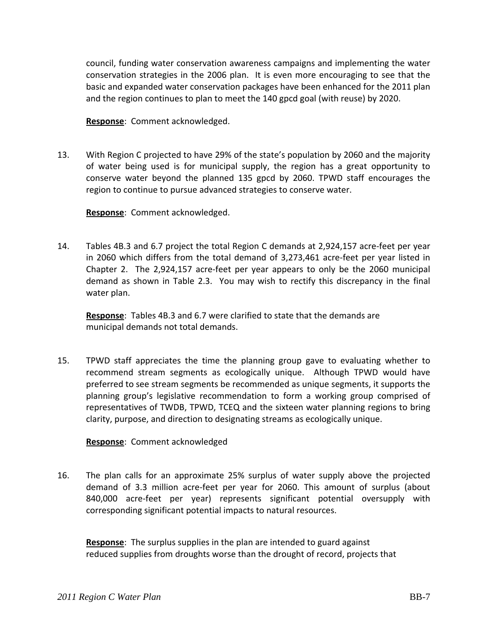council, funding water conservation awareness campaigns and implementing the water conservation strategies in the 2006 plan. It is even more encouraging to see that the basic and expanded water conservation packages have been enhanced for the 2011 plan and the region continues to plan to meet the 140 gpcd goal (with reuse) by 2020.

**Response**: Comment acknowledged.

13. With Region C projected to have 29% of the state's population by 2060 and the majority of water being used is for municipal supply, the region has a great opportunity to conserve water beyond the planned 135 gpcd by 2060. TPWD staff encourages the region to continue to pursue advanced strategies to conserve water.

**Response**: Comment acknowledged.

14. Tables 4B.3 and 6.7 project the total Region C demands at 2,924,157 acre‐feet per year in 2060 which differs from the total demand of 3,273,461 acre-feet per year listed in Chapter 2. The 2,924,157 acre‐feet per year appears to only be the 2060 municipal demand as shown in Table 2.3. You may wish to rectify this discrepancy in the final water plan.

**Response**: Tables 4B.3 and 6.7 were clarified to state that the demands are municipal demands not total demands.

15. TPWD staff appreciates the time the planning group gave to evaluating whether to recommend stream segments as ecologically unique. Although TPWD would have preferred to see stream segments be recommended as unique segments, it supports the planning group's legislative recommendation to form a working group comprised of representatives of TWDB, TPWD, TCEQ and the sixteen water planning regions to bring clarity, purpose, and direction to designating streams as ecologically unique.

## **Response**: Comment acknowledged

16. The plan calls for an approximate 25% surplus of water supply above the projected demand of 3.3 million acre‐feet per year for 2060. This amount of surplus (about 840,000 acre-feet per year) represents significant potential oversupply with corresponding significant potential impacts to natural resources.

**Response**: The surplus supplies in the plan are intended to guard against reduced supplies from droughts worse than the drought of record, projects that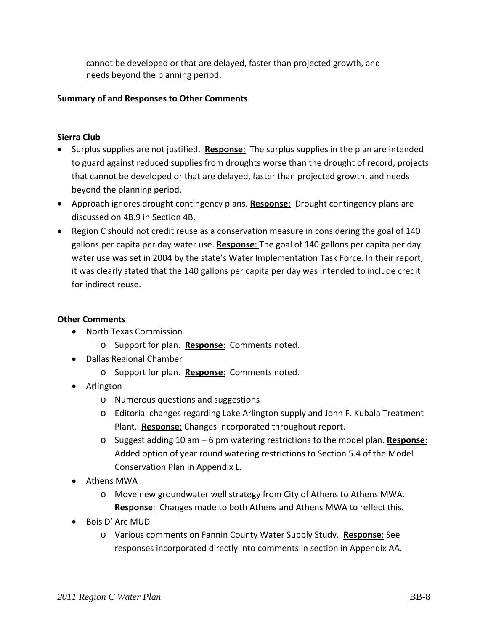cannot be developed or that are delayed, faster than projected growth, and needs beyond the planning period.

## **Summary of and Responses to Other Comments**

## **Sierra Club**

- Surplus supplies are not justified. **Response**: The surplus supplies in the plan are intended to guard against reduced supplies from droughts worse than the drought of record, projects that cannot be developed or that are delayed, faster than projected growth, and needs beyond the planning period.
- Approach ignores drought contingency plans. **Response**: Drought contingency plans are discussed on 4B.9 in Section 4B.
- Region C should not credit reuse as a conservation measure in considering the goal of 140 gallons per capita per day water use. **Response**: The goal of 140 gallons per capita per day water use was set in 2004 by the state's Water Implementation Task Force. In their report, it was clearly stated that the 140 gallons per capita per day was intended to include credit for indirect reuse.

#### **Other Comments**

- North Texas Commission
	- o Support for plan. **Response**: Comments noted.
- Dallas Regional Chamber
	- o Support for plan. **Response**: Comments noted.
- Arlington
	- o Numerous questions and suggestions
	- o Editorial changes regarding Lake Arlington supply and John F. Kubala Treatment Plant. **Response**: Changes incorporated throughout report.
	- o Suggest adding 10 am 6 pm watering restrictions to the model plan. **Response**: Added option of year round watering restrictions to Section 5.4 of the Model Conservation Plan in Appendix L.
- Athens MWA
	- o Move new groundwater well strategy from City of Athens to Athens MWA. **Response**: Changes made to both Athens and Athens MWA to reflect this.
- Bois D' Arc MUD
	- o Various comments on Fannin County Water Supply Study. **Response**: See responses incorporated directly into comments in section in Appendix AA.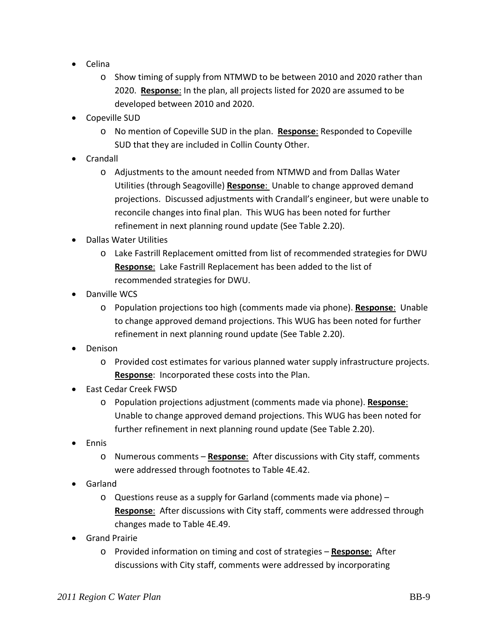- Celina
	- o Show timing of supply from NTMWD to be between 2010 and 2020 rather than 2020. **Response**: In the plan, all projects listed for 2020 are assumed to be developed between 2010 and 2020.
- Copeville SUD
	- o No mention of Copeville SUD in the plan. **Response**: Responded to Copeville SUD that they are included in Collin County Other.
- Crandall
	- o Adjustments to the amount needed from NTMWD and from Dallas Water Utilities (through Seagoville) **Response**: Unable to change approved demand projections. Discussed adjustments with Crandall's engineer, but were unable to reconcile changes into final plan. This WUG has been noted for further refinement in next planning round update (See Table 2.20).
- Dallas Water Utilities
	- o Lake Fastrill Replacement omitted from list of recommended strategies for DWU **Response**: Lake Fastrill Replacement has been added to the list of recommended strategies for DWU.
- Danville WCS
	- o Population projections too high (comments made via phone). **Response**: Unable to change approved demand projections. This WUG has been noted for further refinement in next planning round update (See Table 2.20).
- Denison
	- o Provided cost estimates for various planned water supply infrastructure projects. **Response**: Incorporated these costs into the Plan.
- East Cedar Creek FWSD
	- o Population projections adjustment (comments made via phone). **Response**: Unable to change approved demand projections. This WUG has been noted for further refinement in next planning round update (See Table 2.20).
- Ennis
	- o Numerous comments **Response**: After discussions with City staff, comments were addressed through footnotes to Table 4E.42.
- Garland
	- o Questions reuse as a supply for Garland (comments made via phone) **Response**: After discussions with City staff, comments were addressed through changes made to Table 4E.49.
- **•** Grand Prairie
	- o Provided information on timing and cost of strategies **Response**: After discussions with City staff, comments were addressed by incorporating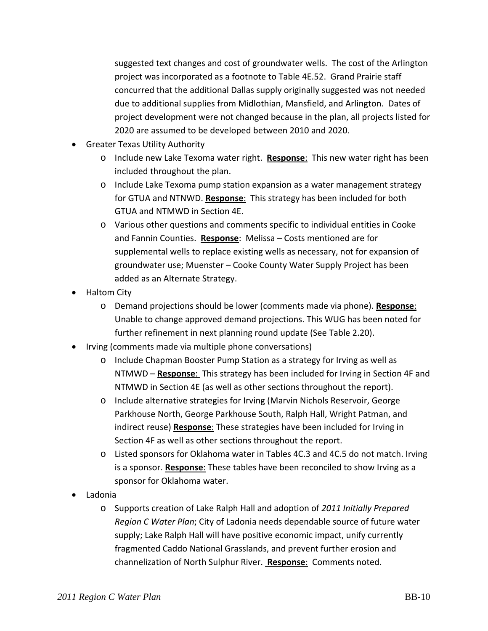suggested text changes and cost of groundwater wells. The cost of the Arlington project was incorporated as a footnote to Table 4E.52. Grand Prairie staff concurred that the additional Dallas supply originally suggested was not needed due to additional supplies from Midlothian, Mansfield, and Arlington. Dates of project development were not changed because in the plan, all projects listed for 2020 are assumed to be developed between 2010 and 2020.

- Greater Texas Utility Authority
	- o Include new Lake Texoma water right. **Response**: This new water right has been included throughout the plan.
	- o Include Lake Texoma pump station expansion as a water management strategy for GTUA and NTNWD. **Response**: This strategy has been included for both GTUA and NTMWD in Section 4E.
	- o Various other questions and comments specific to individual entities in Cooke and Fannin Counties. **Response**: Melissa – Costs mentioned are for supplemental wells to replace existing wells as necessary, not for expansion of groundwater use; Muenster – Cooke County Water Supply Project has been added as an Alternate Strategy.
- Haltom City
	- o Demand projections should be lower (comments made via phone). **Response**: Unable to change approved demand projections. This WUG has been noted for further refinement in next planning round update (See Table 2.20).
- Irving (comments made via multiple phone conversations)
	- o Include Chapman Booster Pump Station as a strategy for Irving as well as NTMWD – **Response**: This strategy has been included for Irving in Section 4F and NTMWD in Section 4E (as well as other sections throughout the report).
	- o Include alternative strategies for Irving (Marvin Nichols Reservoir, George Parkhouse North, George Parkhouse South, Ralph Hall, Wright Patman, and indirect reuse) **Response**: These strategies have been included for Irving in Section 4F as well as other sections throughout the report.
	- o Listed sponsors for Oklahoma water in Tables 4C.3 and 4C.5 do not match. Irving is a sponsor. **Response**: These tables have been reconciled to show Irving as a sponsor for Oklahoma water.
- Ladonia
	- o Supports creation of Lake Ralph Hall and adoption of *2011 Initially Prepared Region C Water Plan*; City of Ladonia needs dependable source of future water supply; Lake Ralph Hall will have positive economic impact, unify currently fragmented Caddo National Grasslands, and prevent further erosion and channelization of North Sulphur River. **Response**: Comments noted.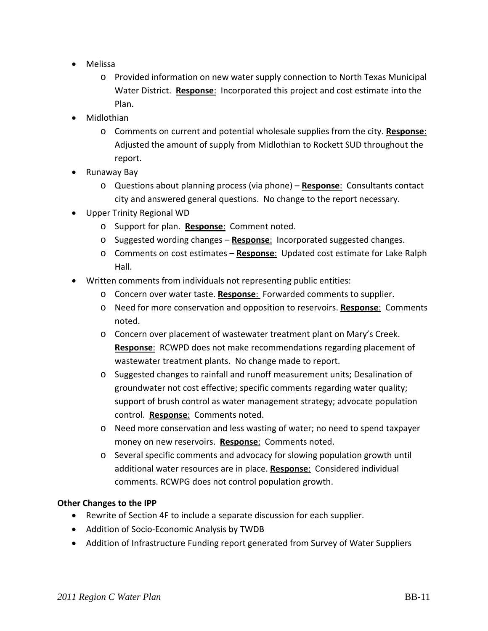- Melissa
	- o Provided information on new water supply connection to North Texas Municipal Water District. **Response**: Incorporated this project and cost estimate into the Plan.
- Midlothian
	- o Comments on current and potential wholesale supplies from the city. **Response**: Adjusted the amount of supply from Midlothian to Rockett SUD throughout the report.
- Runaway Bay
	- o Questions about planning process (via phone) **Response**: Consultants contact city and answered general questions. No change to the report necessary.
- Upper Trinity Regional WD
	- o Support for plan. **Response**: Comment noted.
	- o Suggested wording changes **Response**: Incorporated suggested changes.
	- o Comments on cost estimates **Response**: Updated cost estimate for Lake Ralph Hall.
- Written comments from individuals not representing public entities:
	- o Concern over water taste. **Response**: Forwarded comments to supplier.
	- o Need for more conservation and opposition to reservoirs. **Response**: Comments noted.
	- o Concern over placement of wastewater treatment plant on Mary's Creek. **Response**: RCWPD does not make recommendations regarding placement of wastewater treatment plants. No change made to report.
	- o Suggested changes to rainfall and runoff measurement units; Desalination of groundwater not cost effective; specific comments regarding water quality; support of brush control as water management strategy; advocate population control. **Response**: Comments noted.
	- o Need more conservation and less wasting of water; no need to spend taxpayer money on new reservoirs. **Response**: Comments noted.
	- o Several specific comments and advocacy for slowing population growth until additional water resources are in place. **Response**: Considered individual comments. RCWPG does not control population growth.

## **Other Changes to the IPP**

- Rewrite of Section 4F to include a separate discussion for each supplier.
- Addition of Socio-Economic Analysis by TWDB
- Addition of Infrastructure Funding report generated from Survey of Water Suppliers